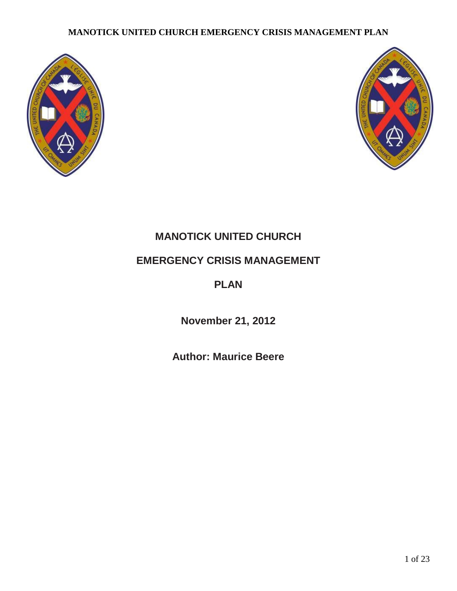



# **MANOTICK UNITED CHURCH**

# **EMERGENCY CRISIS MANAGEMENT**

# **PLAN**

**November 21, 2012**

**Author: Maurice Beere**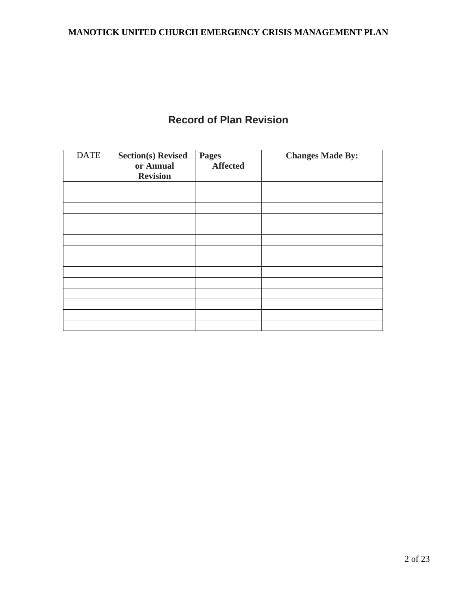# **Record of Plan Revision**

| <b>DATE</b> | <b>Section(s) Revised</b><br>or Annual<br><b>Revision</b> | <b>Pages</b><br><b>Affected</b> | <b>Changes Made By:</b> |
|-------------|-----------------------------------------------------------|---------------------------------|-------------------------|
|             |                                                           |                                 |                         |
|             |                                                           |                                 |                         |
|             |                                                           |                                 |                         |
|             |                                                           |                                 |                         |
|             |                                                           |                                 |                         |
|             |                                                           |                                 |                         |
|             |                                                           |                                 |                         |
|             |                                                           |                                 |                         |
|             |                                                           |                                 |                         |
|             |                                                           |                                 |                         |
|             |                                                           |                                 |                         |
|             |                                                           |                                 |                         |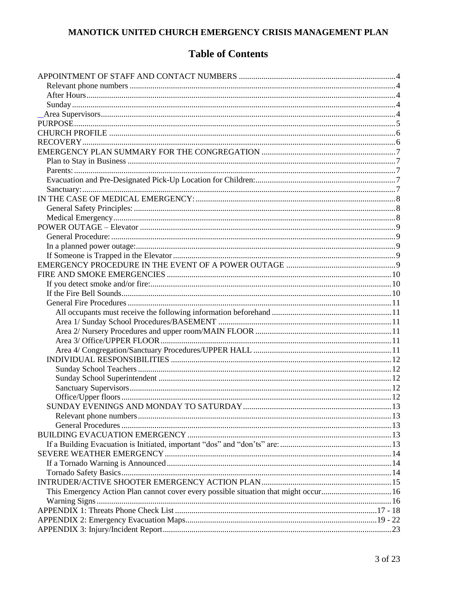## **Table of Contents**

| 23 |  |
|----|--|
|    |  |
|    |  |
|    |  |
|    |  |
|    |  |
|    |  |
|    |  |
|    |  |
|    |  |
|    |  |
|    |  |
|    |  |
|    |  |
|    |  |
|    |  |
|    |  |
|    |  |
|    |  |
|    |  |
|    |  |
|    |  |
|    |  |
|    |  |
|    |  |
|    |  |
|    |  |
|    |  |
|    |  |
|    |  |
|    |  |
|    |  |
|    |  |
|    |  |
|    |  |
|    |  |
|    |  |
|    |  |
|    |  |
|    |  |
|    |  |
|    |  |
|    |  |
|    |  |
|    |  |
|    |  |
|    |  |
|    |  |
|    |  |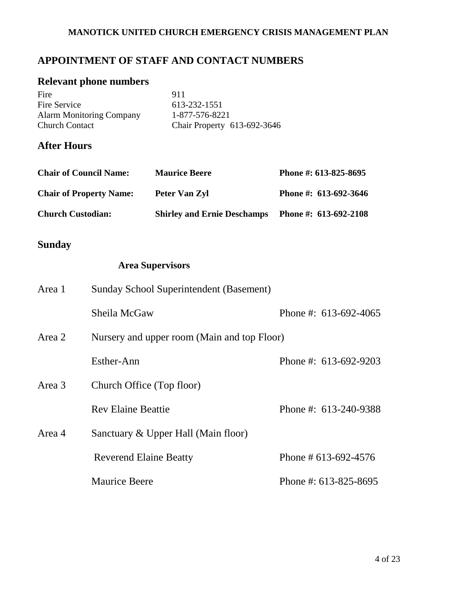## **APPOINTMENT OF STAFF AND CONTACT NUMBERS**

## <span id="page-3-0"></span>**Relevant phone numbers**

| Fire                            | 911                         |
|---------------------------------|-----------------------------|
| Fire Service                    | 613-232-1551                |
| <b>Alarm Monitoring Company</b> | 1-877-576-8221              |
| <b>Church Contact</b>           | Chair Property 613-692-3646 |

## <span id="page-3-1"></span>**After Hours**

| <b>Chair of Council Name:</b>  | <b>Maurice Beere</b>               | Phone #: 613-825-8695   |
|--------------------------------|------------------------------------|-------------------------|
| <b>Chair of Property Name:</b> | Peter Van Zyl                      | Phone #: 613-692-3646   |
| <b>Church Custodian:</b>       | <b>Shirley and Ernie Deschamps</b> | Phone #: $613-692-2108$ |

# <span id="page-3-2"></span>**Sunday**

## <span id="page-3-3"></span>**Area Supervisors**

| Area 1 | Sunday School Superintendent (Basement)     |                         |
|--------|---------------------------------------------|-------------------------|
|        | Sheila McGaw                                | Phone #: $613-692-4065$ |
| Area 2 | Nursery and upper room (Main and top Floor) |                         |
|        | Esther-Ann                                  | Phone #: $613-692-9203$ |
| Area 3 | Church Office (Top floor)                   |                         |
|        | <b>Rev Elaine Beattie</b>                   | Phone #: 613-240-9388   |
| Area 4 | Sanctuary & Upper Hall (Main floor)         |                         |
|        | <b>Reverend Elaine Beatty</b>               | Phone # $613-692-4576$  |
|        | <b>Maurice Beere</b>                        | Phone #: $613-825-8695$ |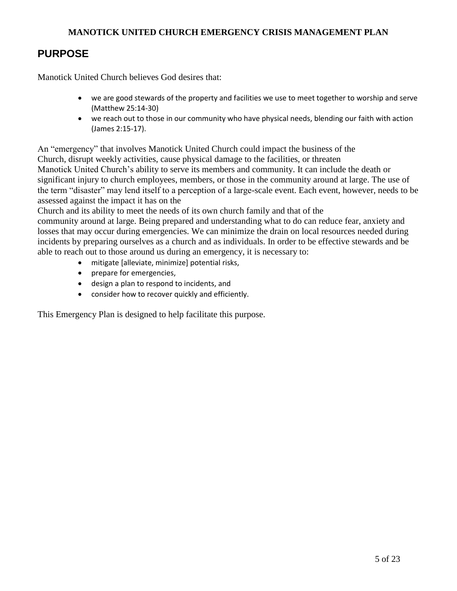## <span id="page-4-0"></span>**PURPOSE**

Manotick United Church believes God desires that:

- we are good stewards of the property and facilities we use to meet together to worship and serve (Matthew 25:14-30)
- we reach out to those in our community who have physical needs, blending our faith with action (James 2:15-17).

An "emergency" that involves Manotick United Church could impact the business of the Church, disrupt weekly activities, cause physical damage to the facilities, or threaten Manotick United Church's ability to serve its members and community. It can include the death or significant injury to church employees, members, or those in the community around at large. The use of the term "disaster" may lend itself to a perception of a large-scale event. Each event, however, needs to be assessed against the impact it has on the

Church and its ability to meet the needs of its own church family and that of the

community around at large. Being prepared and understanding what to do can reduce fear, anxiety and losses that may occur during emergencies. We can minimize the drain on local resources needed during incidents by preparing ourselves as a church and as individuals. In order to be effective stewards and be able to reach out to those around us during an emergency, it is necessary to:

- mitigate [alleviate, minimize] potential risks,
- prepare for emergencies,
- design a plan to respond to incidents, and
- consider how to recover quickly and efficiently.

<span id="page-4-1"></span>This Emergency Plan is designed to help facilitate this purpose.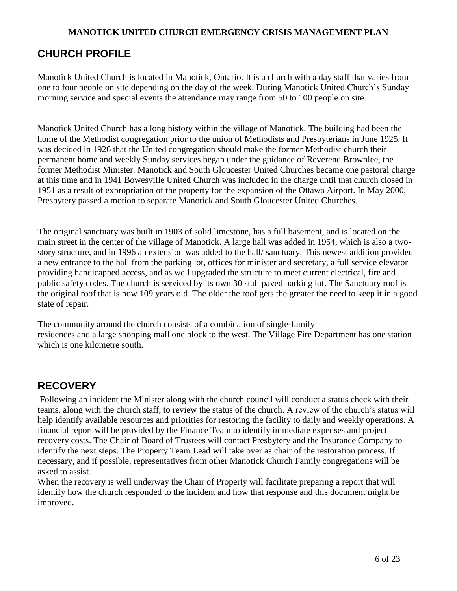## **CHURCH PROFILE**

Manotick United Church is located in Manotick, Ontario. It is a church with a day staff that varies from one to four people on site depending on the day of the week. During Manotick United Church's Sunday morning service and special events the attendance may range from 50 to 100 people on site.

Manotick United Church has a long history within the village of Manotick. The building had been the home of the Methodist congregation prior to the union of Methodists and Presbyterians in June 1925. It was decided in 1926 that the United congregation should make the former Methodist church their permanent home and weekly Sunday services began under the guidance of Reverend Brownlee, the former Methodist Minister. Manotick and South Gloucester United Churches became one pastoral charge at this time and in 1941 Bowesville United Church was included in the charge until that church closed in 1951 as a result of expropriation of the property for the expansion of the Ottawa Airport. In May 2000, Presbytery passed a motion to separate Manotick and South Gloucester United Churches.

The original sanctuary was built in 1903 of solid limestone, has a full basement, and is located on the main street in the center of the village of Manotick. A large hall was added in 1954, which is also a twostory structure, and in 1996 an extension was added to the hall/ sanctuary. This newest addition provided a new entrance to the hall from the parking lot, offices for minister and secretary, a full service elevator providing handicapped access, and as well upgraded the structure to meet current electrical, fire and public safety codes. The church is serviced by its own 30 stall paved parking lot. The Sanctuary roof is the original roof that is now 109 years old. The older the roof gets the greater the need to keep it in a good state of repair.

The community around the church consists of a combination of single-family residences and a large shopping mall one block to the west. The Village Fire Department has one station which is one kilometre south.

## <span id="page-5-0"></span>**RECOVERY**

Following an incident the Minister along with the church council will conduct a status check with their teams, along with the church staff, to review the status of the church. A review of the church's status will help identify available resources and priorities for restoring the facility to daily and weekly operations. A financial report will be provided by the Finance Team to identify immediate expenses and project recovery costs. The Chair of Board of Trustees will contact Presbytery and the Insurance Company to identify the next steps. The Property Team Lead will take over as chair of the restoration process. If necessary, and if possible, representatives from other Manotick Church Family congregations will be asked to assist.

<span id="page-5-1"></span>When the recovery is well underway the Chair of Property will facilitate preparing a report that will identify how the church responded to the incident and how that response and this document might be improved.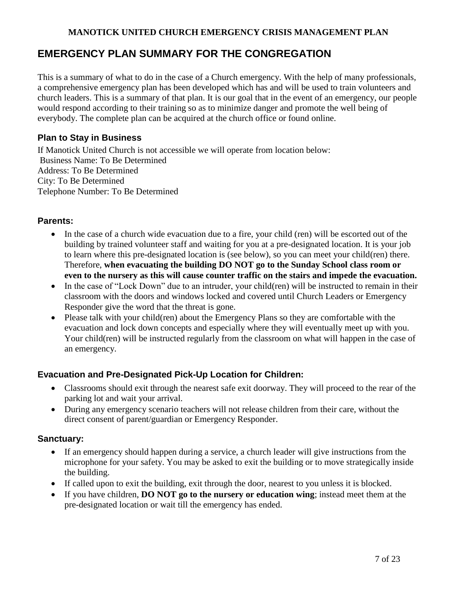## **EMERGENCY PLAN SUMMARY FOR THE CONGREGATION**

This is a summary of what to do in the case of a Church emergency. With the help of many professionals, a comprehensive emergency plan has been developed which has and will be used to train volunteers and church leaders. This is a summary of that plan. It is our goal that in the event of an emergency, our people would respond according to their training so as to minimize danger and promote the well being of everybody. The complete plan can be acquired at the church office or found online.

### <span id="page-6-0"></span>**Plan to Stay in Business**

If Manotick United Church is not accessible we will operate from location below: Business Name: To Be Determined Address: To Be Determined City: To Be Determined Telephone Number: To Be Determined

#### <span id="page-6-1"></span>**Parents:**

- In the case of a church wide evacuation due to a fire, your child (ren) will be escorted out of the building by trained volunteer staff and waiting for you at a pre-designated location. It is your job to learn where this pre-designated location is (see below), so you can meet your child(ren) there. Therefore, **when evacuating the building DO NOT go to the Sunday School class room or even to the nursery as this will cause counter traffic on the stairs and impede the evacuation.**
- In the case of "Lock Down" due to an intruder, your child(ren) will be instructed to remain in their classroom with the doors and windows locked and covered until Church Leaders or Emergency Responder give the word that the threat is gone.
- Please talk with your child(ren) about the Emergency Plans so they are comfortable with the evacuation and lock down concepts and especially where they will eventually meet up with you. Your child(ren) will be instructed regularly from the classroom on what will happen in the case of an emergency.

### <span id="page-6-2"></span>**Evacuation and Pre-Designated Pick-Up Location for Children:**

- Classrooms should exit through the nearest safe exit doorway. They will proceed to the rear of the parking lot and wait your arrival.
- During any emergency scenario teachers will not release children from their care, without the direct consent of parent/guardian or Emergency Responder.

#### <span id="page-6-3"></span>**Sanctuary:**

- If an emergency should happen during a service, a church leader will give instructions from the microphone for your safety. You may be asked to exit the building or to move strategically inside the building.
- If called upon to exit the building, exit through the door, nearest to you unless it is blocked.
- If you have children, **DO NOT go to the nursery or education wing**; instead meet them at the pre-designated location or wait till the emergency has ended.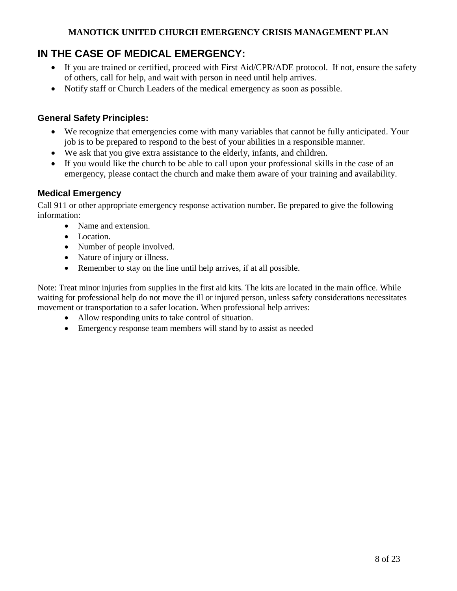## <span id="page-7-0"></span>**IN THE CASE OF MEDICAL EMERGENCY:**

- If you are trained or certified, proceed with First Aid/CPR/ADE protocol. If not, ensure the safety of others, call for help, and wait with person in need until help arrives.
- Notify staff or Church Leaders of the medical emergency as soon as possible.

### <span id="page-7-1"></span>**General Safety Principles:**

- We recognize that emergencies come with many variables that cannot be fully anticipated. Your job is to be prepared to respond to the best of your abilities in a responsible manner.
- We ask that you give extra assistance to the elderly, infants, and children.
- If you would like the church to be able to call upon your professional skills in the case of an emergency, please contact the church and make them aware of your training and availability.

### <span id="page-7-2"></span>**Medical Emergency**

Call 911 or other appropriate emergency response activation number. Be prepared to give the following information:

- Name and extension.
- Location.
- Number of people involved.
- Nature of injury or illness.
- Remember to stay on the line until help arrives, if at all possible.

Note: Treat minor injuries from supplies in the first aid kits. The kits are located in the main office. While waiting for professional help do not move the ill or injured person, unless safety considerations necessitates movement or transportation to a safer location. When professional help arrives:

- Allow responding units to take control of situation.
- <span id="page-7-3"></span>Emergency response team members will stand by to assist as needed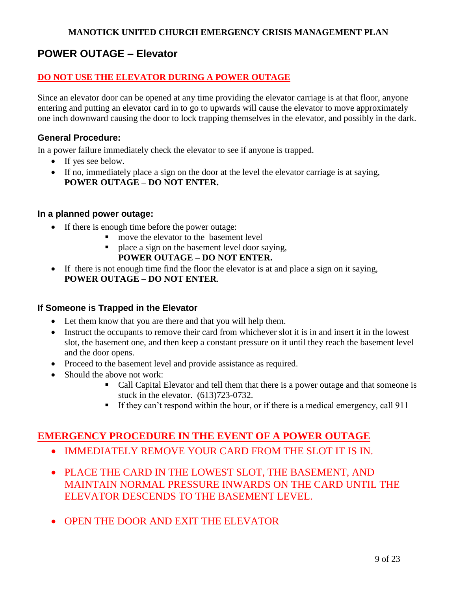## **POWER OUTAGE – Elevator**

### **DO NOT USE THE ELEVATOR DURING A POWER OUTAGE**

Since an elevator door can be opened at any time providing the elevator carriage is at that floor, anyone entering and putting an elevator card in to go to upwards will cause the elevator to move approximately one inch downward causing the door to lock trapping themselves in the elevator, and possibly in the dark.

#### <span id="page-8-0"></span>**General Procedure:**

In a power failure immediately check the elevator to see if anyone is trapped.

- If yes see below.
- If no, immediately place a sign on the door at the level the elevator carriage is at saying, **POWER OUTAGE – DO NOT ENTER.**

#### <span id="page-8-1"></span>**In a planned power outage:**

- If there is enough time before the power outage:
	- move the elevator to the basement level
	- **place a sign on the basement level door saying.**

#### **POWER OUTAGE – DO NOT ENTER.**

 If there is not enough time find the floor the elevator is at and place a sign on it saying, **POWER OUTAGE – DO NOT ENTER**.

#### <span id="page-8-2"></span>**If Someone is Trapped in the Elevator**

- Let them know that you are there and that you will help them.
- Instruct the occupants to remove their card from whichever slot it is in and insert it in the lowest slot, the basement one, and then keep a constant pressure on it until they reach the basement level and the door opens.
- Proceed to the basement level and provide assistance as required.
- Should the above not work:
	- Call Capital Elevator and tell them that there is a power outage and that someone is stuck in the elevator. (613)723-0732.
	- If they can't respond within the hour, or if there is a medical emergency, call  $911$

## <span id="page-8-3"></span>**EMERGENCY PROCEDURE IN THE EVENT OF A POWER OUTAGE**

- IMMEDIATELY REMOVE YOUR CARD FROM THE SLOT IT IS IN.
- PLACE THE CARD IN THE LOWEST SLOT, THE BASEMENT, AND MAINTAIN NORMAL PRESSURE INWARDS ON THE CARD UNTIL THE ELEVATOR DESCENDS TO THE BASEMENT LEVEL.
- OPEN THE DOOR AND EXIT THE ELEVATOR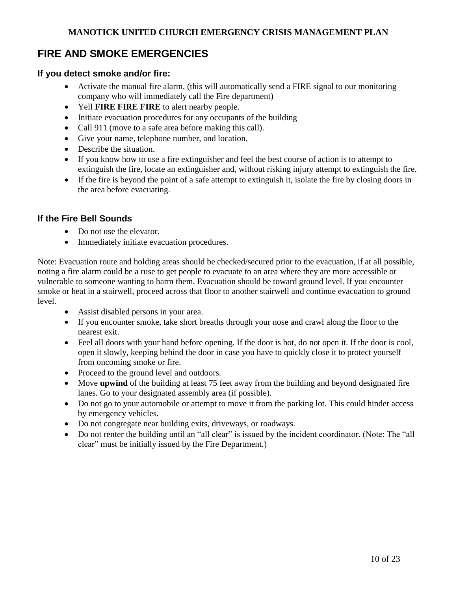## <span id="page-9-0"></span>**FIRE AND SMOKE EMERGENCIES**

#### <span id="page-9-1"></span>**If you detect smoke and/or fire:**

- Activate the manual fire alarm. (this will automatically send a FIRE signal to our monitoring company who will immediately call the Fire department)
- Yell **FIRE FIRE FIRE** to alert nearby people.
- Initiate evacuation procedures for any occupants of the building
- Call 911 (move to a safe area before making this call).
- Give your name, telephone number, and location.
- Describe the situation.
- If you know how to use a fire extinguisher and feel the best course of action is to attempt to extinguish the fire, locate an extinguisher and, without risking injury attempt to extinguish the fire.
- If the fire is beyond the point of a safe attempt to extinguish it, isolate the fire by closing doors in the area before evacuating.

#### <span id="page-9-2"></span>**If the Fire Bell Sounds**

- Do not use the elevator.
- Immediately initiate evacuation procedures.

Note: Evacuation route and holding areas should be checked/secured prior to the evacuation, if at all possible, noting a fire alarm could be a ruse to get people to evacuate to an area where they are more accessible or vulnerable to someone wanting to harm them. Evacuation should be toward ground level. If you encounter smoke or heat in a stairwell, proceed across that floor to another stairwell and continue evacuation to ground level.

- Assist disabled persons in your area.
- If you encounter smoke, take short breaths through your nose and crawl along the floor to the nearest exit.
- Feel all doors with your hand before opening. If the door is hot, do not open it. If the door is cool, open it slowly, keeping behind the door in case you have to quickly close it to protect yourself from oncoming smoke or fire.
- Proceed to the ground level and outdoors.
- Move **upwind** of the building at least 75 feet away from the building and beyond designated fire lanes. Go to your designated assembly area (if possible).
- Do not go to your automobile or attempt to move it from the parking lot. This could hinder access by emergency vehicles.
- Do not congregate near building exits, driveways, or roadways.
- <span id="page-9-3"></span> Do not renter the building until an "all clear" is issued by the incident coordinator. (Note: The "all clear" must be initially issued by the Fire Department.)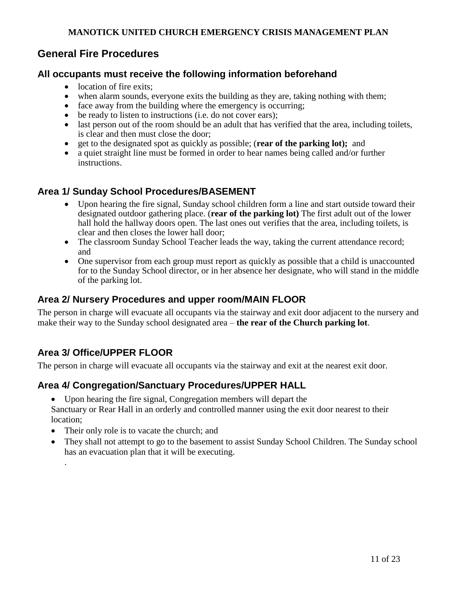## **General Fire Procedures**

### <span id="page-10-0"></span>**All occupants must receive the following information beforehand**

- location of fire exits;
- when alarm sounds, everyone exits the building as they are, taking nothing with them;
- face away from the building where the emergency is occurring;
- be ready to listen to instructions (i.e. do not cover ears);
- last person out of the room should be an adult that has verified that the area, including toilets, is clear and then must close the door;
- get to the designated spot as quickly as possible; (**rear of the parking lot);** and
- a quiet straight line must be formed in order to hear names being called and/or further instructions.

### <span id="page-10-1"></span>**Area 1/ Sunday School Procedures/BASEMENT**

- Upon hearing the fire signal, Sunday school children form a line and start outside toward their designated outdoor gathering place. (**rear of the parking lot)** The first adult out of the lower hall hold the hallway doors open. The last ones out verifies that the area, including toilets, is clear and then closes the lower hall door;
- The classroom Sunday School Teacher leads the way, taking the current attendance record; and
- One supervisor from each group must report as quickly as possible that a child is unaccounted for to the Sunday School director, or in her absence her designate, who will stand in the middle of the parking lot.

### <span id="page-10-2"></span>**Area 2/ Nursery Procedures and upper room/MAIN FLOOR**

The person in charge will evacuate all occupants via the stairway and exit door adjacent to the nursery and make their way to the Sunday school designated area – **the rear of the Church parking lot**.

## <span id="page-10-3"></span>**Area 3/ Office/UPPER FLOOR**

<span id="page-10-5"></span>.

<span id="page-10-4"></span>The person in charge will evacuate all occupants via the stairway and exit at the nearest exit door.

### **Area 4/ Congregation/Sanctuary Procedures/UPPER HALL**

Upon hearing the fire signal, Congregation members will depart the

Sanctuary or Rear Hall in an orderly and controlled manner using the exit door nearest to their location;

- Their only role is to vacate the church; and
- They shall not attempt to go to the basement to assist Sunday School Children. The Sunday school has an evacuation plan that it will be executing.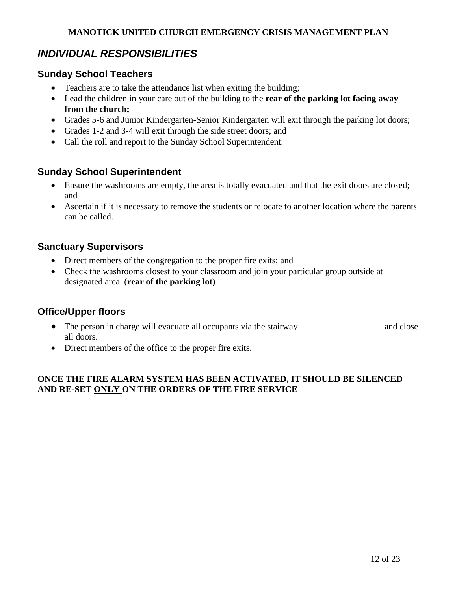## *INDIVIDUAL RESPONSIBILITIES*

### <span id="page-11-0"></span>**Sunday School Teachers**

- Teachers are to take the attendance list when exiting the building;
- Lead the children in your care out of the building to the **rear of the parking lot facing away from the church;**
- Grades 5-6 and Junior Kindergarten-Senior Kindergarten will exit through the parking lot doors;
- Grades 1-2 and 3-4 will exit through the side street doors; and
- Call the roll and report to the Sunday School Superintendent.

## <span id="page-11-1"></span>**Sunday School Superintendent**

- Ensure the washrooms are empty, the area is totally evacuated and that the exit doors are closed; and
- Ascertain if it is necessary to remove the students or relocate to another location where the parents can be called.

### <span id="page-11-2"></span>**Sanctuary Supervisors**

- Direct members of the congregation to the proper fire exits; and
- Check the washrooms closest to your classroom and join your particular group outside at designated area. (**rear of the parking lot)**

### <span id="page-11-3"></span>**Office/Upper floors**

- The person in charge will evacuate all occupants via the stairway and close all doors.
- Direct members of the office to the proper fire exits.

### <span id="page-11-4"></span>**ONCE THE FIRE ALARM SYSTEM HAS BEEN ACTIVATED, IT SHOULD BE SILENCED AND RE-SET ONLY ON THE ORDERS OF THE FIRE SERVICE**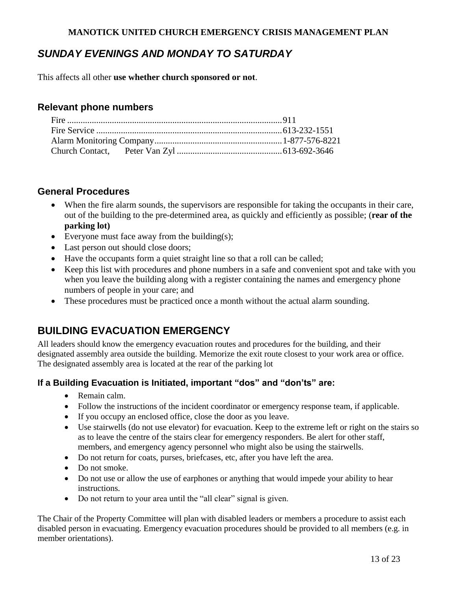## *SUNDAY EVENINGS AND MONDAY TO SATURDAY*

This affects all other **use whether church sponsored or not**.

### <span id="page-12-0"></span>**Relevant phone numbers**

### <span id="page-12-1"></span>**General Procedures**

- When the fire alarm sounds, the supervisors are responsible for taking the occupants in their care, out of the building to the pre-determined area, as quickly and efficiently as possible; (**rear of the parking lot)**
- Everyone must face away from the building $(s)$ ;
- Last person out should close doors;
- Have the occupants form a quiet straight line so that a roll can be called;
- Keep this list with procedures and phone numbers in a safe and convenient spot and take with you when you leave the building along with a register containing the names and emergency phone numbers of people in your care; and
- These procedures must be practiced once a month without the actual alarm sounding.

## <span id="page-12-2"></span>**BUILDING EVACUATION EMERGENCY**

All leaders should know the emergency evacuation routes and procedures for the building, and their designated assembly area outside the building. Memorize the exit route closest to your work area or office. The designated assembly area is located at the rear of the parking lot

#### <span id="page-12-3"></span>**If a Building Evacuation is Initiated, important "dos" and "don'ts" are:**

- Remain calm.
- Follow the instructions of the incident coordinator or emergency response team, if applicable.
- If you occupy an enclosed office, close the door as you leave.
- Use stairwells (do not use elevator) for evacuation. Keep to the extreme left or right on the stairs so as to leave the centre of the stairs clear for emergency responders. Be alert for other staff, members, and emergency agency personnel who might also be using the stairwells.
- Do not return for coats, purses, briefcases, etc, after you have left the area.
- Do not smoke.
- Do not use or allow the use of earphones or anything that would impede your ability to hear instructions.
- Do not return to your area until the "all clear" signal is given.

The Chair of the Property Committee will plan with disabled leaders or members a procedure to assist each disabled person in evacuating. Emergency evacuation procedures should be provided to all members (e.g. in member orientations).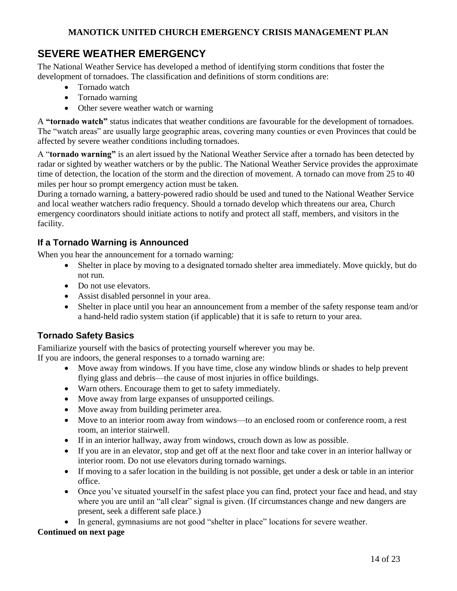## <span id="page-13-0"></span>**SEVERE WEATHER EMERGENCY**

The National Weather Service has developed a method of identifying storm conditions that foster the development of tornadoes. The classification and definitions of storm conditions are:

- Tornado watch
- Tornado warning
- Other severe weather watch or warning

A **"tornado watch"** status indicates that weather conditions are favourable for the development of tornadoes. The "watch areas" are usually large geographic areas, covering many counties or even Provinces that could be affected by severe weather conditions including tornadoes.

A "**tornado warning"** is an alert issued by the National Weather Service after a tornado has been detected by radar or sighted by weather watchers or by the public. The National Weather Service provides the approximate time of detection, the location of the storm and the direction of movement. A tornado can move from 25 to 40 miles per hour so prompt emergency action must be taken.

During a tornado warning, a battery-powered radio should be used and tuned to the National Weather Service and local weather watchers radio frequency. Should a tornado develop which threatens our area, Church emergency coordinators should initiate actions to notify and protect all staff, members, and visitors in the facility.

### <span id="page-13-1"></span>**If a Tornado Warning is Announced**

When you hear the announcement for a tornado warning:

- Shelter in place by moving to a designated tornado shelter area immediately. Move quickly, but do not run.
- Do not use elevators.
- Assist disabled personnel in your area.
- Shelter in place until you hear an announcement from a member of the safety response team and/or a hand-held radio system station (if applicable) that it is safe to return to your area.

### <span id="page-13-2"></span>**Tornado Safety Basics**

Familiarize yourself with the basics of protecting yourself wherever you may be.

If you are indoors, the general responses to a tornado warning are:

- Move away from windows. If you have time, close any window blinds or shades to help prevent flying glass and debris—the cause of most injuries in office buildings.
- Warn others. Encourage them to get to safety immediately.
- Move away from large expanses of unsupported ceilings.
- Move away from building perimeter area.
- Move to an interior room away from windows—to an enclosed room or conference room, a rest room, an interior stairwell.
- If in an interior hallway, away from windows, crouch down as low as possible.
- If you are in an elevator, stop and get off at the next floor and take cover in an interior hallway or interior room. Do not use elevators during tornado warnings.
- If moving to a safer location in the building is not possible, get under a desk or table in an interior office.
- Once you've situated yourself in the safest place you can find, protect your face and head, and stay where you are until an "all clear" signal is given. (If circumstances change and new dangers are present, seek a different safe place.)
- In general, gymnasiums are not good "shelter in place" locations for severe weather.

#### **Continued on next page**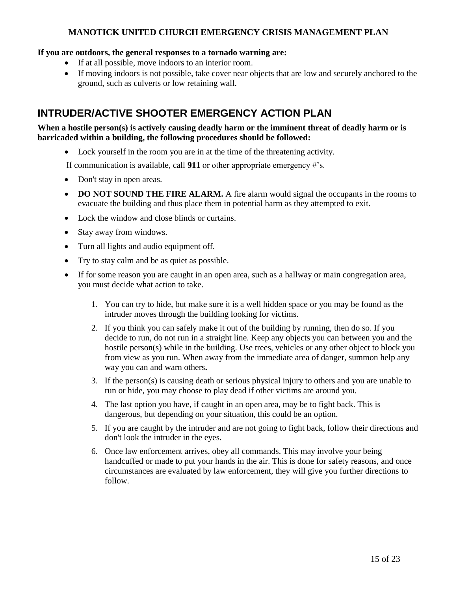#### **If you are outdoors, the general responses to a tornado warning are:**

- If at all possible, move indoors to an interior room.
- If moving indoors is not possible, take cover near objects that are low and securely anchored to the ground, such as culverts or low retaining wall.

## <span id="page-14-0"></span>**INTRUDER/ACTIVE SHOOTER EMERGENCY ACTION PLAN**

#### **When a hostile person(s) is actively causing deadly harm or the imminent threat of deadly harm or is barricaded within a building, the following procedures should be followed:**

Lock yourself in the room you are in at the time of the threatening activity.

If communication is available, call **911** or other appropriate emergency #'s.

- Don't stay in open areas.
- **DO NOT SOUND THE FIRE ALARM.** A fire alarm would signal the occupants in the rooms to evacuate the building and thus place them in potential harm as they attempted to exit.
- Lock the window and close blinds or curtains.
- Stay away from windows.
- Turn all lights and audio equipment off.
- Try to stay calm and be as quiet as possible.
- <span id="page-14-1"></span> If for some reason you are caught in an open area, such as a hallway or main congregation area, you must decide what action to take.
	- 1. You can try to hide, but make sure it is a well hidden space or you may be found as the intruder moves through the building looking for victims.
	- 2. If you think you can safely make it out of the building by running, then do so. If you decide to run, do not run in a straight line. Keep any objects you can between you and the hostile person(s) while in the building. Use trees, vehicles or any other object to block you from view as you run. When away from the immediate area of danger, summon help any way you can and warn others**.**
	- 3. If the person(s) is causing death or serious physical injury to others and you are unable to run or hide, you may choose to play dead if other victims are around you.
	- 4. The last option you have, if caught in an open area, may be to fight back. This is dangerous, but depending on your situation, this could be an option.
	- 5. If you are caught by the intruder and are not going to fight back, follow their directions and don't look the intruder in the eyes.
	- 6. Once law enforcement arrives, obey all commands. This may involve your being handcuffed or made to put your hands in the air. This is done for safety reasons, and once circumstances are evaluated by law enforcement, they will give you further directions to follow.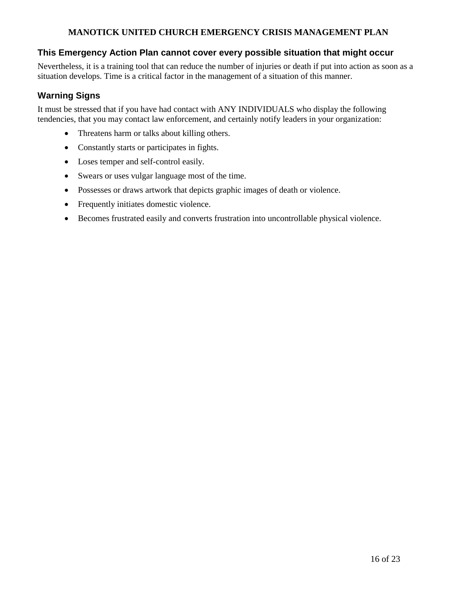#### **This Emergency Action Plan cannot cover every possible situation that might occur**

Nevertheless, it is a training tool that can reduce the number of injuries or death if put into action as soon as a situation develops. Time is a critical factor in the management of a situation of this manner.

### <span id="page-15-0"></span>**Warning Signs**

It must be stressed that if you have had contact with ANY INDIVIDUALS who display the following tendencies, that you may contact law enforcement, and certainly notify leaders in your organization:

- Threatens harm or talks about killing others.
- Constantly starts or participates in fights.
- Loses temper and self-control easily.
- Swears or uses vulgar language most of the time.
- Possesses or draws artwork that depicts graphic images of death or violence.
- Frequently initiates domestic violence.
- Becomes frustrated easily and converts frustration into uncontrollable physical violence.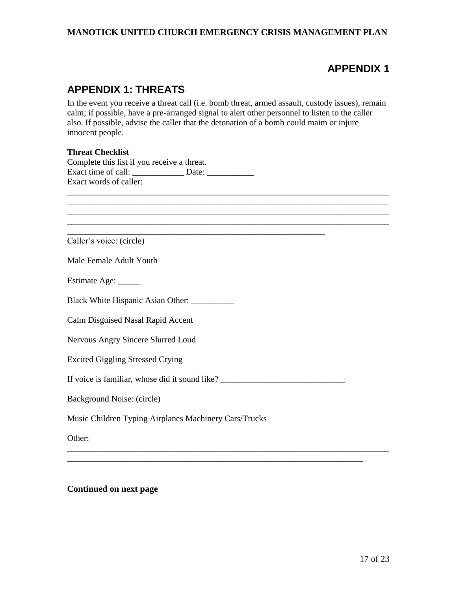## **APPENDIX 1**

## **APPENDIX 1: THREATS**

In the event you receive a threat call (i.e. bomb threat, armed assault, custody issues), remain calm; if possible, have a pre-arranged signal to alert other personnel to listen to the caller also. If possible, advise the caller that the detonation of a bomb could maim or injure innocent people.

\_\_\_\_\_\_\_\_\_\_\_\_\_\_\_\_\_\_\_\_\_\_\_\_\_\_\_\_\_\_\_\_\_\_\_\_\_\_\_\_\_\_\_\_\_\_\_\_\_\_\_\_\_\_\_\_\_\_\_\_\_\_\_\_\_\_\_\_\_\_\_\_\_\_\_ \_\_\_\_\_\_\_\_\_\_\_\_\_\_\_\_\_\_\_\_\_\_\_\_\_\_\_\_\_\_\_\_\_\_\_\_\_\_\_\_\_\_\_\_\_\_\_\_\_\_\_\_\_\_\_\_\_\_\_\_\_\_\_\_\_\_\_\_\_\_\_\_\_\_\_ \_\_\_\_\_\_\_\_\_\_\_\_\_\_\_\_\_\_\_\_\_\_\_\_\_\_\_\_\_\_\_\_\_\_\_\_\_\_\_\_\_\_\_\_\_\_\_\_\_\_\_\_\_\_\_\_\_\_\_\_\_\_\_\_\_\_\_\_\_\_\_\_\_\_\_

\_\_\_\_\_\_\_\_\_\_\_\_\_\_\_\_\_\_\_\_\_\_\_\_\_\_\_\_\_\_\_\_\_\_\_\_\_\_\_\_\_\_\_\_\_\_\_\_\_\_\_\_\_\_\_\_\_\_\_\_\_\_\_\_\_\_\_\_\_\_\_\_\_\_\_

#### **Threat Checklist**

|                        | Complete this list if you receive a threat. |
|------------------------|---------------------------------------------|
| Exact time of call:    | Date:                                       |
| Exact words of caller: |                                             |

Caller's voice: (circle)

Male Female Adult Youth

Estimate Age: \_\_\_\_\_

Black White Hispanic Asian Other: \_\_\_\_\_\_\_\_\_\_\_\_\_

Calm Disguised Nasal Rapid Accent

Nervous Angry Sincere Slurred Loud

Excited Giggling Stressed Crying

If voice is familiar, whose did it sound like? \_\_\_\_\_\_\_\_\_\_\_\_\_\_\_\_\_\_\_\_\_\_\_\_\_\_\_\_\_\_\_\_\_\_

\_\_\_\_\_\_\_\_\_\_\_\_\_\_\_\_\_\_\_\_\_\_\_\_\_\_\_\_\_\_\_\_\_\_\_\_\_\_\_\_\_\_\_\_\_\_\_\_\_\_\_\_\_\_\_\_\_\_\_\_\_\_\_\_\_\_\_\_\_\_\_\_\_\_\_

\_\_\_\_\_\_\_\_\_\_\_\_\_\_\_\_\_\_\_\_\_\_\_\_\_\_\_\_\_\_\_\_\_\_\_\_\_\_\_\_\_\_\_\_\_\_\_\_\_\_\_\_\_\_\_\_\_\_\_\_\_\_\_\_\_\_\_\_\_

\_\_\_\_\_\_\_\_\_\_\_\_\_\_\_\_\_\_\_\_\_\_\_\_\_\_\_\_\_\_\_\_\_\_\_\_\_\_\_\_\_\_\_\_\_\_\_\_\_\_\_\_\_\_\_\_\_\_\_\_

Background Noise: (circle)

Music Children Typing Airplanes Machinery Cars/Trucks

Other:

**Continued on next page**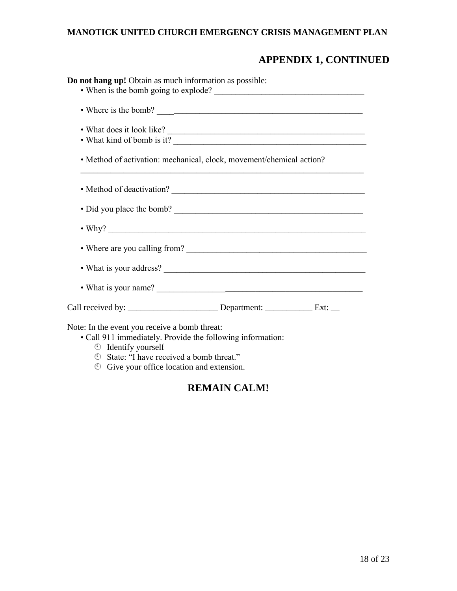# **APPENDIX 1, CONTINUED**

| Do not hang up! Obtain as much information as possible:                                                                                                                                                                                                           |  |
|-------------------------------------------------------------------------------------------------------------------------------------------------------------------------------------------------------------------------------------------------------------------|--|
|                                                                                                                                                                                                                                                                   |  |
| • What does it look like?<br>• What kind of bomb is it?                                                                                                                                                                                                           |  |
| • Method of activation: mechanical, clock, movement/chemical action?                                                                                                                                                                                              |  |
|                                                                                                                                                                                                                                                                   |  |
| • Did you place the bomb?                                                                                                                                                                                                                                         |  |
|                                                                                                                                                                                                                                                                   |  |
|                                                                                                                                                                                                                                                                   |  |
|                                                                                                                                                                                                                                                                   |  |
|                                                                                                                                                                                                                                                                   |  |
|                                                                                                                                                                                                                                                                   |  |
| Note: In the event you receive a bomb threat:<br>· Call 911 immediately. Provide the following information:<br>$\circledcirc$ Identify yourself<br><sup>①</sup> State: "I have received a bomb threat."<br>$\circled{ }$ Give your office location and extension. |  |

## **REMAIN CALM!**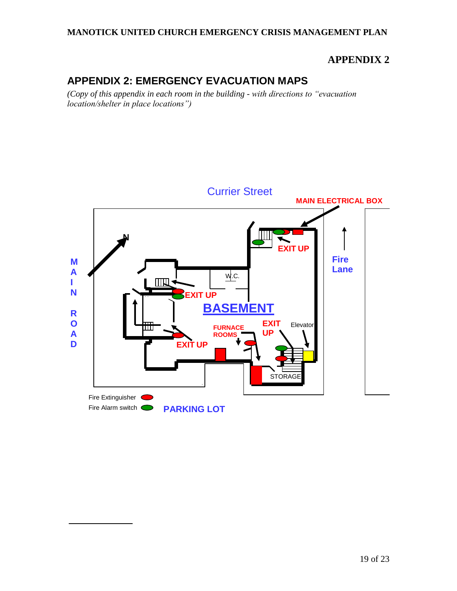## **APPENDIX 2**

# **APPENDIX 2: EMERGENCY EVACUATION MAPS**

*(Copy of this appendix in each room in the building - with directions to "evacuation location/shelter in place locations")* 

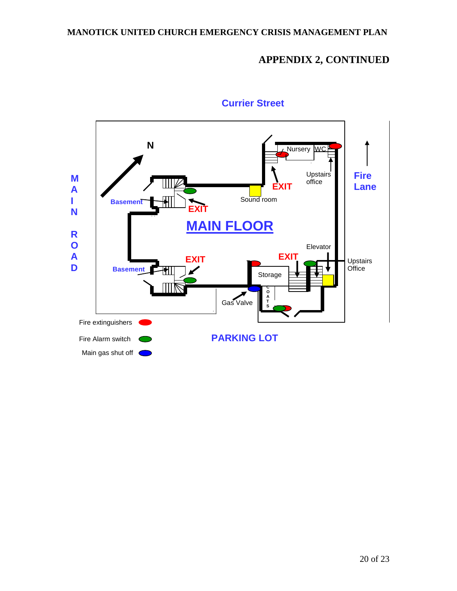# **APPENDIX 2, CONTINUED**



## **Currier Street**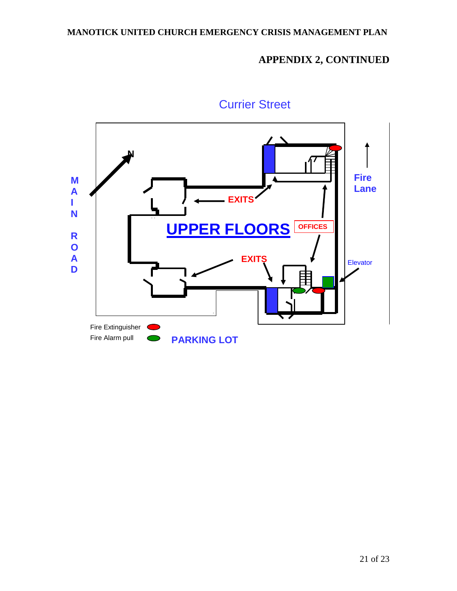# **APPENDIX 2, CONTINUED**



# Currier Street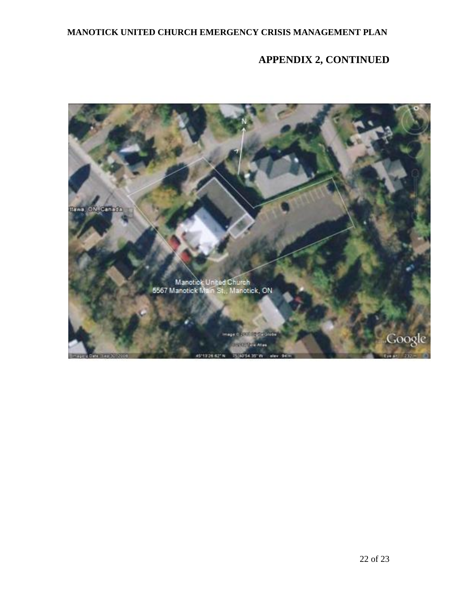# **APPENDIX 2, CONTINUED**